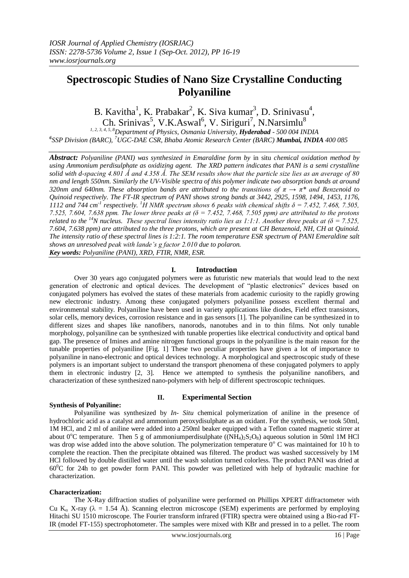# **Spectroscopic Studies of Nano Size Crystalline Conducting Polyaniline**

B. Kavitha<sup>1</sup>, K. Prabakar<sup>2</sup>, K. Siva kumar<sup>3</sup>, D. Srinivasu<sup>4</sup>, Ch. Srinivas<sup>5</sup>, V.K.Aswal<sup>6</sup>, V. Siriguri<sup>7</sup>, [N.Narsimlu](mailto:N.Narsimlu@1)<sup>8</sup> *1, 2, 3, 4, 5, 8Department of Physics, Osmania University, Hyderabad - 500 004 INDIA*

*6 SSP Division (BARC), <sup>7</sup>UGC-DAE CSR, Bhaba Atomic Research Center (BARC) Mumbai, INDIA 400 085*

*Abstract: Polyaniline (PANI) was synthesized in Emaraldine form by* in situ *chemical oxidation method by using Ammonium perdisulphate as oxidizing agent. The XRD pattern indicates that PANI is a semi crystalline solid with d-spacing 4.801 Ǻ and 4.358 Ǻ. The SEM results show that the particle size lies as an average of 80 nm and length 550nm. Similarly the UV-Visible spectra of this polymer indicate two absorption bands at around 320nm and 640nm. These absorption bands are attributed to the transitions of π → π\* and Benzenoid to Quinoid respectively. The FT-IR spectrum of PANI shows strong bands at 3442, 2925, 1598, 1494, 1453, 1176,*  1112 and 744 cm<sup>-1</sup> respectively. <sup>1</sup>*H* NMR spectrum shows 6 peaks with chemical shifts  $\delta$  = 7.452, 7.468, 7.505, *7.525, 7.604, 7.638 ppm. The lower three peaks at (δ = 7.452, 7.468, 7.505 ppm) are attributed to the protons related to the <sup>14</sup>N nucleus. These spectral lines intensity ratio lies as 1:1:1. Another three peaks at (δ = 7.525, 7.604, 7.638 ppm) are attributed to the three protons, which are present at CH Benzenoid, NH, CH at Quinoid. The intensity ratio of these spectral lines is 1:2:1. The room temperature ESR spectrum of PANI Emeraldine salt shows an unresolved peak with lande's g factor 2.010 due to polaron. Key words: Polyaniline (PANI), XRD, FTIR, NMR, ESR.*

## **I. Introduction**

Over 30 years ago conjugated polymers were as futuristic new materials that would lead to the next generation of electronic and optical devices. The development of "plastic electronics" devices based on conjugated polymers has evolved the states of these materials from academic curiosity to the rapidly growing new electronic industry. Among these conjugated polymers polyaniline possess excellent thermal and environmental stability. Polyaniline have been used in variety applications like diodes, Field effect transistors, solar cells, memory devices, corrosion resistance and in gas sensors [1]. The polyaniline can be synthesized in to different sizes and shapes like nanofibers, nanorods, nanotubes and in to thin films. Not only tunable morphology, polyaniline can be synthesized with tunable properties like electrical conductivity and optical band gap. The presence of Imines and amine nitrogen functional groups in the polyaniline is the main reason for the tunable properties of polyaniline [Fig. 1] These two peculiar properties have given a lot of importance to polyaniline in nano-electronic and optical devices technology. A morphological and spectroscopic study of these polymers is an important subject to understand the transport phenomena of these conjugated polymers to apply them in electronic industry [2, 3]. Hence we attempted to synthesis the polyaniline nanofibers, and characterization of these synthesized nano-polymers with help of different spectroscopic techniques.

#### **Synthesis of Polyaniline:**

#### **II. Experimental Section**

Polyaniline was synthesized by *In- Situ* chemical polymerization of aniline in the presence of hydrochloric acid as a catalyst and ammonium peroxydisulphate as an oxidant. For the synthesis, we took 50ml, 1M HCl, and 2 ml of aniline were added into a 250ml beaker equipped with a Teflon coated magnetic stirrer at about 0<sup>o</sup>C temperature. Then 5 g of ammoniumperdisulphate  $((NH_4)_2S_2O_8)$  aqueous solution in 50ml 1M HCl was drop wise added into the above solution. The polymerization temperature  $0^{\circ}$  C was maintained for 10 h to complete the reaction. Then the precipitate obtained was filtered. The product was washed successively by 1M HCl followed by double distilled water until the wash solution turned colorless. The product PANI was dried at 60<sup>0</sup>C for 24h to get powder form PANI. This powder was pelletized with help of hydraulic machine for characterization.

#### **Characterization:**

The X-Ray diffraction studies of polyaniline were performed on Phillips XPERT diffractometer with Cu K<sub>a</sub> X-ray ( $\lambda = 1.54$  Å). Scanning electron microscope (SEM) experiments are performed by employing Hitachi SU 1510 microscope. The Fourier transform infrared (FTIR) spectra were obtained using a Bio-rad FT-IR (model FT-155) spectrophotometer. The samples were mixed with KBr and pressed in to a pellet. The room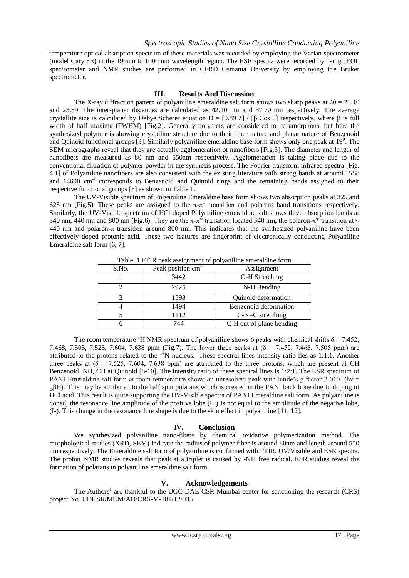temperature optical absorption spectrum of these materials was recorded by employing the Varian spectrometer (model Cary 5E) in the 190nm to 1000 nm wavelength region. The ESR spectra were recorded by using JEOL spectrometer and NMR studies are performed in CFRD Osmania University by employing the Bruker spectrometer.

### **III. Results And Discussion**

The X-ray diffraction pattern of polyaniline emeraldine salt form shows two sharp peaks at  $2\theta = 21.10$ and 23.59. The inter-planar distances are calculated as 42.10 nm and 37.70 nm respectively. The average crystallite size is calculated by Debye Scherer equation  $D = [0.89 \lambda] / [β \cos θ]$  respectively, where β is full width of half maxima (FWHM) [Fig.2]. Generally polymers are considered to be amorphous, but here the synthesized polymer is showing crystalline structure due to their fiber nature and planar nature of Benzenoid and Quinoid functional groups [3]. Similarly polyaniline emeraldine base form shows only one peak at  $19^0$ . The SEM micrographs reveal that they are actually agglomeration of nanofibers [Fig.3]. The diameter and length of nanofibers are measured as 80 nm and 550nm respectively. Agglomeration is taking place due to the conventional filtration of polymer powder in the synthesis process. The Fourier transform infrared spectra [Fig. 4.1] of Polyaniline nanofibers are also consistent with the existing literature with strong bands at around 1558 and 14690 cm<sup>-1</sup> corresponds to Benzenoid and Quinoid rings and the remaining bands assigned to their respective functional groups [5] as shown in Table 1.

The UV-Visible spectrum of Polyaniline Emeraldine base form shows two absorption peaks at 325 and 625 nm (Fig.5). These peaks are assigned to the  $\pi$ - $\pi$ <sup>\*</sup> transition and polarans band transitions respectively. Similarly, the UV-Visible spectrum of HCl doped Polyaniline emeraldine salt shows three absorption bands at 340 nm, 440 nm and 800 nm (Fig.6). They are the  $\pi$ - $\pi$ \* transition located 340 nm, the polaron- $\pi$ \* transition at ~ 440 nm and polaron- $\pi$  transition around 800 nm. This indicates that the synthesized polyaniline have been effectively doped protonic acid. These two features are fingerprint of electronically conducting Polyaniline Emeraldine salt form [6, 7].

| Table .1 I TIR peak assignment of porvamme emerantine form |                                |                          |
|------------------------------------------------------------|--------------------------------|--------------------------|
| S.No.                                                      | Peak position cm <sup>-1</sup> | Assignment               |
|                                                            | 3442                           | O-H Stretching           |
|                                                            | 2925                           | N-H Bending              |
|                                                            | 1598                           | Quinoid deformation      |
|                                                            | 1494                           | Benzenoid deformation    |
|                                                            | 1112                           | $C-N=C$ stretching       |
|                                                            | 744                            | C-H out of plane bending |

Table .1 FTIR peak assignment of polyaniline emeraldine form

The room temperature <sup>1</sup>H NMR spectrum of polyaniline shows 6 peaks with chemical shifts  $\delta$  = 7.452, 7.468, 7.505, 7.525, 7.604, 7.638 ppm (Fig.7). The lower three peaks at (δ = 7.452, 7.468, 7.505 ppm) are attributed to the protons related to the <sup>14</sup>N nucleus. These spectral lines intensity ratio lies as 1:1:1. Another three peaks at  $(\delta = 7.525, 7.604, 7.638$  ppm) are attributed to the three protons, which are present at CH Benzenoid, NH, CH at Quinoid [8-10]. The intensity ratio of these spectral lines is 1:2:1. The ESR spectrum of PANI Emeraldine salt form at room temperature shows an unresolved peak with lande's g factor 2.010 (hv = gβH). This may be attributed to the half spin polarans which is created in the PANI back bone due to doping of HCl acid. This result is quite supporting the UV-Visible spectra of PANI Emeraldine salt form. As polyaniline is doped, the resonance line amplitude of the positive lobe  $(I<sub>+</sub>)$  is not equal to the amplitude of the negative lobe, (I-). This change in the resonance line shape is due to the skin effect in polyaniline [11, 12].

## **IV. Conclusion**

We synthesized polyaniline nano-fibers by chemical oxidative polymerization method. The morphological studies (XRD, SEM) indicate the radius of polymer fiber is around 80nm and length around 550 nm respectively. The Emeraldine salt form of polyaniline is confirmed with FTIR, UV/Visible and ESR spectra. The proton NMR studies reveals that peak at a triplet is caused by -NH free radical. ESR studies reveal the formation of polarans in polyaniline emeraldine salt form.

## **V. Acknowledgements**

The Authors<sup>1</sup> are thankful to the UGC-DAE CSR Mumbai center for sanctioning the research (CRS) project No. UDCSR/MUM/AO/CRS-M-181/12/035.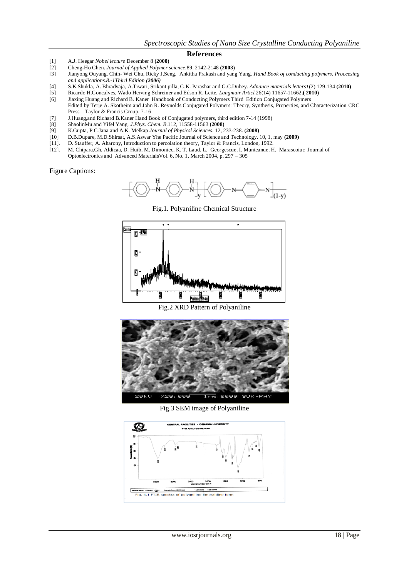#### **References**

- [1] A.J. Heegar *Nobel lecture* December 8 **(2000)**
- [2] Cheng-Ho Chen. *Journal of Applied Polymer science.*89, 2142-2148 **(2003)**
- [3] Jianyong Ouyang, Chih- Wei Chu, Ricky J.Seng, Ankitha Prakash and yang Yang. *Hand Book of conducting polymers. Proceesing and applications.8.-1Third Edition (2006)*
- [4] S.K.Shukla, A. Bhradvaja, A.Tiwari, Srikant pilla, G.K. Parashar and G.C.Dubey. *Adnance materials letters1*(2) 129-134 **(2010)**
- [5] Ricardo H.Goncalves, Wado Herving Schreiner and Edson R. Leite. *Langmuir Articl.*26(14) 11657-11662**.( 2010)**
- [6] Jiaxing Huang and Richard B. KanerHandbook of Conducting Polymers Third Edition Conjugated Polymers
- Edited by Terje A. Skotheim and John R. Reynolds Conjugated Polymers: Theory, Synthesis, Properties, and Characterization CRC Press Taylor & Francis Group. 7-16
- [7] J.Huang,and Richard B.Kaner Hand Book of Conjugated polymers, third edition 7-14 (1998)
- [8] ShaolinMu and Yifel Yang. *J.Phys. Chem. B*.112, 11558-11563 **(2008)**
- [9] K.Gupta, P.C.Jana and A.K. Melkap *Journal of Physicsl Sciences.* 12, 233-238. **(2008)**
- [10] D.B.Dupare, M.D.Shirsat, A.S.Aswar Yhe Pacific Journal of Science and Technology. 10, 1, may **(2009)**
- [11]. D. Stauffer, A. Aharony, Introduction to percolation theory*,* Taylor & Francis, London, 1992.
- [12]. M. Chipara,Gh. Aldicaa, D. Huib, M. Dimoniec, K. T. Laud, L. Georgescue, I. Munteanue, H. Marascoiuc Journal of Optoelectronics and Advanced MaterialsVol. 6, No. 1, March 2004, p. 297 – 305

Figure Captions:



Fig.1. Polyaniline Chemical Structure



Fig.2 XRD Pattern of Polyaniline



Fig.3 SEM image of Polyaniline